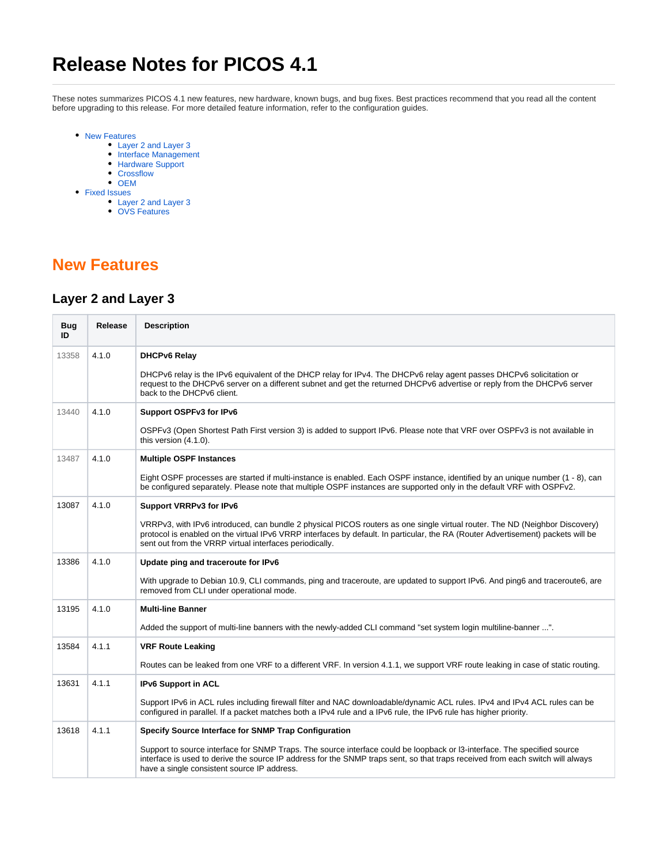# **Release Notes for PICOS 4.1**

These notes summarizes PICOS 4.1 new features, new hardware, known bugs, and bug fixes. Best practices recommend that you read all the content before upgrading to this release. For more detailed feature information, refer to the configuration guides.

- [New Features](#page-0-0)
	- [Layer 2 and Layer 3](#page-0-1)
	- [Interface Management](#page-1-0)
	- [Hardware Support](#page-1-1)
	- [Crossflow](#page-1-2)
	- [OEM](#page-1-3)
- [Fixed Issues](#page-1-4)
	- [Layer 2 and Layer 3](#page-2-0)
	- [OVS Features](#page-3-0)

### <span id="page-0-0"></span>**New Features**

#### <span id="page-0-1"></span>**Layer 2 and Layer 3**

| <b>Bug</b><br>ID | Release | <b>Description</b>                                                                                                                                                                                                                                                                                                         |
|------------------|---------|----------------------------------------------------------------------------------------------------------------------------------------------------------------------------------------------------------------------------------------------------------------------------------------------------------------------------|
| 13358            | 4.1.0   | <b>DHCPv6 Relay</b>                                                                                                                                                                                                                                                                                                        |
|                  |         | DHCPv6 relay is the IPv6 equivalent of the DHCP relay for IPv4. The DHCPv6 relay agent passes DHCPv6 solicitation or<br>request to the DHCPv6 server on a different subnet and get the returned DHCPv6 advertise or reply from the DHCPv6 server<br>back to the DHCPv6 client.                                             |
| 13440            | 4.1.0   | Support OSPFv3 for IPv6                                                                                                                                                                                                                                                                                                    |
|                  |         | OSPFv3 (Open Shortest Path First version 3) is added to support IPv6. Please note that VRF over OSPFv3 is not available in<br>this version $(4.1.0)$ .                                                                                                                                                                     |
| 13487            | 4.1.0   | <b>Multiple OSPF Instances</b>                                                                                                                                                                                                                                                                                             |
|                  |         | Eight OSPF processes are started if multi-instance is enabled. Each OSPF instance, identified by an unique number (1 - 8), can<br>be configured separately. Please note that multiple OSPF instances are supported only in the default VRF with OSPFv2.                                                                    |
| 13087            | 4.1.0   | Support VRRPv3 for IPv6                                                                                                                                                                                                                                                                                                    |
|                  |         | VRRPv3, with IPv6 introduced, can bundle 2 physical PICOS routers as one single virtual router. The ND (Neighbor Discovery)<br>protocol is enabled on the virtual IPv6 VRRP interfaces by default. In particular, the RA (Router Advertisement) packets will be<br>sent out from the VRRP virtual interfaces periodically. |
| 13386            | 4.1.0   | Update ping and traceroute for IPv6                                                                                                                                                                                                                                                                                        |
|                  |         | With upgrade to Debian 10.9, CLI commands, ping and traceroute, are updated to support IPv6. And ping6 and traceroute6, are<br>removed from CLI under operational mode.                                                                                                                                                    |
| 13195            | 4.1.0   | <b>Multi-line Banner</b>                                                                                                                                                                                                                                                                                                   |
|                  |         | Added the support of multi-line banners with the newly-added CLI command "set system login multiline-banner ".                                                                                                                                                                                                             |
| 13584            | 4.1.1   | <b>VRF Route Leaking</b>                                                                                                                                                                                                                                                                                                   |
|                  |         | Routes can be leaked from one VRF to a different VRF. In version 4.1.1, we support VRF route leaking in case of static routing.                                                                                                                                                                                            |
| 13631            | 4.1.1   | <b>IPv6 Support in ACL</b>                                                                                                                                                                                                                                                                                                 |
|                  |         | Support IPv6 in ACL rules including firewall filter and NAC downloadable/dynamic ACL rules. IPv4 and IPv4 ACL rules can be<br>configured in parallel. If a packet matches both a IPv4 rule and a IPv6 rule, the IPv6 rule has higher priority.                                                                             |
| 13618            | 4.1.1   | Specify Source Interface for SNMP Trap Configuration                                                                                                                                                                                                                                                                       |
|                  |         | Support to source interface for SNMP Traps. The source interface could be loopback or I3-interface. The specified source<br>interface is used to derive the source IP address for the SNMP traps sent, so that traps received from each switch will always<br>have a single consistent source IP address.                  |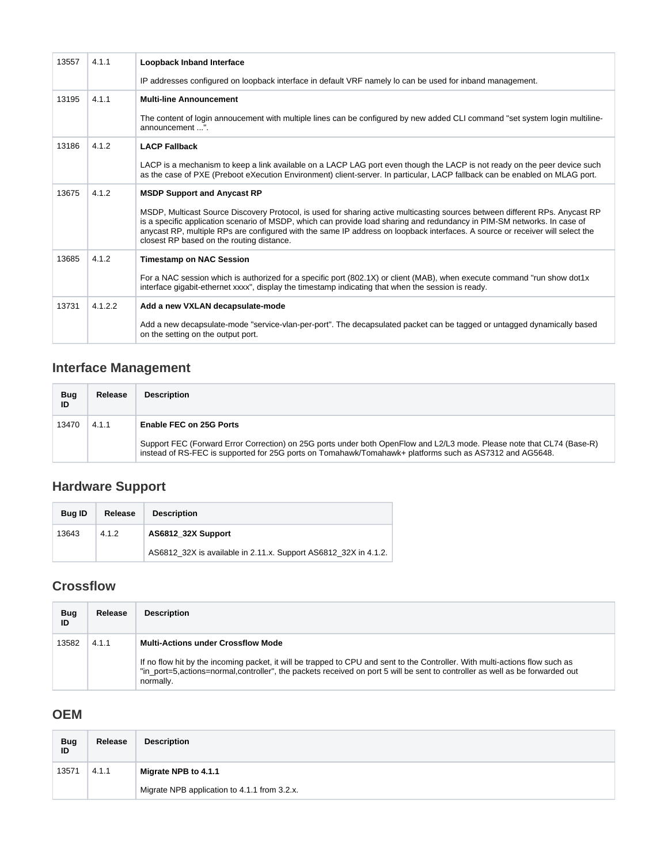| 13557 | 4.1.1   | Loopback Inband Interface                                                                                                                                                                                                                                                                                                                                                                                                              |  |  |
|-------|---------|----------------------------------------------------------------------------------------------------------------------------------------------------------------------------------------------------------------------------------------------------------------------------------------------------------------------------------------------------------------------------------------------------------------------------------------|--|--|
|       |         | IP addresses configured on loopback interface in default VRF namely lo can be used for inband management.                                                                                                                                                                                                                                                                                                                              |  |  |
| 13195 | 4.1.1   | <b>Multi-line Announcement</b>                                                                                                                                                                                                                                                                                                                                                                                                         |  |  |
|       |         | The content of login annoucement with multiple lines can be configured by new added CLI command "set system login multiline-<br>announcement ".                                                                                                                                                                                                                                                                                        |  |  |
| 13186 | 4.1.2   | <b>LACP Fallback</b>                                                                                                                                                                                                                                                                                                                                                                                                                   |  |  |
|       |         | LACP is a mechanism to keep a link available on a LACP LAG port even though the LACP is not ready on the peer device such<br>as the case of PXE (Preboot eXecution Environment) client-server. In particular, LACP fallback can be enabled on MLAG port.                                                                                                                                                                               |  |  |
| 13675 | 4.1.2   | <b>MSDP Support and Anycast RP</b>                                                                                                                                                                                                                                                                                                                                                                                                     |  |  |
|       |         | MSDP, Multicast Source Discovery Protocol, is used for sharing active multicasting sources between different RPs. Anycast RP<br>is a specific application scenario of MSDP, which can provide load sharing and redundancy in PIM-SM networks. In case of<br>anycast RP, multiple RPs are configured with the same IP address on loopback interfaces. A source or receiver will select the<br>closest RP based on the routing distance. |  |  |
| 13685 | 4.1.2   | <b>Timestamp on NAC Session</b>                                                                                                                                                                                                                                                                                                                                                                                                        |  |  |
|       |         | For a NAC session which is authorized for a specific port (802.1X) or client (MAB), when execute command "run show dot1x<br>interface gigabit-ethernet xxxx", display the timestamp indicating that when the session is ready.                                                                                                                                                                                                         |  |  |
| 13731 | 4.1.2.2 | Add a new VXLAN decapsulate-mode                                                                                                                                                                                                                                                                                                                                                                                                       |  |  |
|       |         | Add a new decapsulate-mode "service-vlan-per-port". The decapsulated packet can be tagged or untagged dynamically based<br>on the setting on the output port.                                                                                                                                                                                                                                                                          |  |  |

## <span id="page-1-0"></span>**Interface Management**

| Bug<br>ID | Release | <b>Description</b>                                                                                                                                                                                                                |  |
|-----------|---------|-----------------------------------------------------------------------------------------------------------------------------------------------------------------------------------------------------------------------------------|--|
| 13470     | 4.1.1   | Enable FEC on 25G Ports                                                                                                                                                                                                           |  |
|           |         | Support FEC (Forward Error Correction) on 25G ports under both OpenFlow and L2/L3 mode. Please note that CL74 (Base-R)<br>instead of RS-FEC is supported for 25G ports on Tomahawk/Tomahawk+ platforms such as AS7312 and AG5648. |  |

#### <span id="page-1-1"></span>**Hardware Support**

| <b>Bug ID</b> | Release | <b>Description</b>                                              |
|---------------|---------|-----------------------------------------------------------------|
| 13643         | 4.1.2   | AS6812 32X Support                                              |
|               |         | AS6812 32X is available in 2.11.x. Support AS6812 32X in 4.1.2. |

#### <span id="page-1-2"></span>**Crossflow**

| Bug<br>ID | Release | <b>Description</b>                                                                                                                                                                                                                                                          |
|-----------|---------|-----------------------------------------------------------------------------------------------------------------------------------------------------------------------------------------------------------------------------------------------------------------------------|
| 13582     | 4.1.1   | <b>Multi-Actions under Crossflow Mode</b>                                                                                                                                                                                                                                   |
|           |         | If no flow hit by the incoming packet, it will be trapped to CPU and sent to the Controller. With multi-actions flow such as<br>"in port=5, actions=normal, controller", the packets received on port 5 will be sent to controller as well as be forwarded out<br>normally. |

#### <span id="page-1-3"></span>**OEM**

<span id="page-1-4"></span>

| Bug<br>ID | Release | <b>Description</b>                           |
|-----------|---------|----------------------------------------------|
| 13571     | 4.1.1   | Migrate NPB to 4.1.1                         |
|           |         | Migrate NPB application to 4.1.1 from 3.2.x. |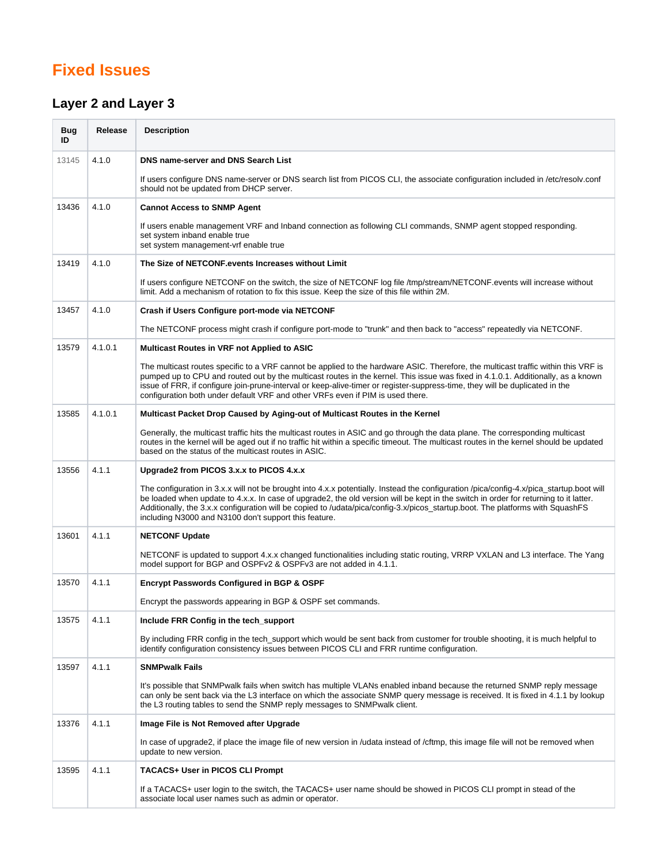# **Fixed Issues**

### <span id="page-2-0"></span>**Layer 2 and Layer 3**

| <b>Bug</b><br>ID | Release | <b>Description</b>                                                                                                                                                                                                                                                                                                                                                                                                                                                                       |
|------------------|---------|------------------------------------------------------------------------------------------------------------------------------------------------------------------------------------------------------------------------------------------------------------------------------------------------------------------------------------------------------------------------------------------------------------------------------------------------------------------------------------------|
| 13145            | 4.1.0   | DNS name-server and DNS Search List                                                                                                                                                                                                                                                                                                                                                                                                                                                      |
|                  |         | If users configure DNS name-server or DNS search list from PICOS CLI, the associate configuration included in /etc/resolv.conf<br>should not be updated from DHCP server.                                                                                                                                                                                                                                                                                                                |
| 13436            | 4.1.0   | <b>Cannot Access to SNMP Agent</b>                                                                                                                                                                                                                                                                                                                                                                                                                                                       |
|                  |         | If users enable management VRF and Inband connection as following CLI commands, SNMP agent stopped responding.<br>set system inband enable true<br>set system management-vrf enable true                                                                                                                                                                                                                                                                                                 |
| 13419            | 4.1.0   | The Size of NETCONF events Increases without Limit                                                                                                                                                                                                                                                                                                                                                                                                                                       |
|                  |         | If users configure NETCONF on the switch, the size of NETCONF log file /tmp/stream/NETCONF.events will increase without<br>limit. Add a mechanism of rotation to fix this issue. Keep the size of this file within 2M.                                                                                                                                                                                                                                                                   |
| 13457            | 4.1.0   | Crash if Users Configure port-mode via NETCONF                                                                                                                                                                                                                                                                                                                                                                                                                                           |
|                  |         | The NETCONF process might crash if configure port-mode to "trunk" and then back to "access" repeatedly via NETCONF.                                                                                                                                                                                                                                                                                                                                                                      |
| 13579            | 4.1.0.1 | Multicast Routes in VRF not Applied to ASIC                                                                                                                                                                                                                                                                                                                                                                                                                                              |
|                  |         | The multicast routes specific to a VRF cannot be applied to the hardware ASIC. Therefore, the multicast traffic within this VRF is<br>pumped up to CPU and routed out by the multicast routes in the kernel. This issue was fixed in 4.1.0.1. Additionally, as a known<br>issue of FRR, if configure join-prune-interval or keep-alive-timer or register-suppress-time, they will be duplicated in the<br>configuration both under default VRF and other VRFs even if PIM is used there. |
| 13585            | 4.1.0.1 | Multicast Packet Drop Caused by Aging-out of Multicast Routes in the Kernel                                                                                                                                                                                                                                                                                                                                                                                                              |
|                  |         | Generally, the multicast traffic hits the multicast routes in ASIC and go through the data plane. The corresponding multicast<br>routes in the kernel will be aged out if no traffic hit within a specific timeout. The multicast routes in the kernel should be updated<br>based on the status of the multicast routes in ASIC.                                                                                                                                                         |
| 13556            | 4.1.1   | Upgrade2 from PICOS 3.x.x to PICOS 4.x.x                                                                                                                                                                                                                                                                                                                                                                                                                                                 |
|                  |         | The configuration in 3.x.x will not be brought into 4.x.x potentially. Instead the configuration /pica/config-4.x/pica_startup.boot will<br>be loaded when update to 4.x.x. In case of upgrade2, the old version will be kept in the switch in order for returning to it latter.<br>Additionally, the 3.x.x configuration will be copied to /udata/pica/config-3.x/picos_startup.boot. The platforms with SquashFS<br>including N3000 and N3100 don't support this feature.              |
| 13601            | 4.1.1   | <b>NETCONF Update</b>                                                                                                                                                                                                                                                                                                                                                                                                                                                                    |
|                  |         | NETCONF is updated to support 4.x.x changed functionalities including static routing, VRRP VXLAN and L3 interface. The Yang<br>model support for BGP and OSPFv2 & OSPFv3 are not added in 4.1.1.                                                                                                                                                                                                                                                                                         |
| 13570            | 4.1.1   | <b>Encrypt Passwords Configured in BGP &amp; OSPF</b>                                                                                                                                                                                                                                                                                                                                                                                                                                    |
|                  |         | Encrypt the passwords appearing in BGP & OSPF set commands.                                                                                                                                                                                                                                                                                                                                                                                                                              |
| 13575            | 4.1.1   | Include FRR Config in the tech_support                                                                                                                                                                                                                                                                                                                                                                                                                                                   |
|                  |         | By including FRR config in the tech_support which would be sent back from customer for trouble shooting, it is much helpful to<br>identify configuration consistency issues between PICOS CLI and FRR runtime configuration.                                                                                                                                                                                                                                                             |
| 13597            | 4.1.1   | <b>SNMPwalk Fails</b>                                                                                                                                                                                                                                                                                                                                                                                                                                                                    |
|                  |         | It's possible that SNMPwalk fails when switch has multiple VLANs enabled inband because the returned SNMP reply message<br>can only be sent back via the L3 interface on which the associate SNMP query message is received. It is fixed in 4.1.1 by lookup<br>the L3 routing tables to send the SNMP reply messages to SNMP walk client.                                                                                                                                                |
| 13376            | 4.1.1   | Image File is Not Removed after Upgrade                                                                                                                                                                                                                                                                                                                                                                                                                                                  |
|                  |         | In case of upgrade2, if place the image file of new version in /udata instead of /cftmp, this image file will not be removed when<br>update to new version.                                                                                                                                                                                                                                                                                                                              |
| 13595            | 4.1.1   | <b>TACACS+ User in PICOS CLI Prompt</b>                                                                                                                                                                                                                                                                                                                                                                                                                                                  |
|                  |         | If a TACACS+ user login to the switch, the TACACS+ user name should be showed in PICOS CLI prompt in stead of the<br>associate local user names such as admin or operator.                                                                                                                                                                                                                                                                                                               |